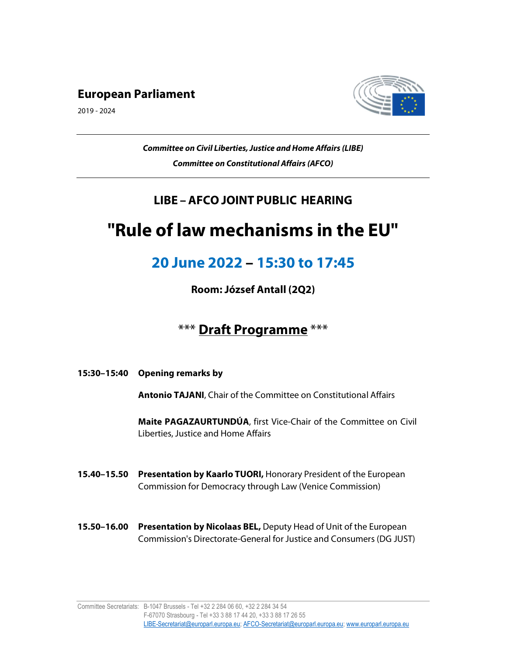### European Parliament

2019 - 2024



Committee on Civil Liberties, Justice and Home Affairs (LIBE) Committee on Constitutional Affairs (AFCO)

## LIBE – AFCO JOINT PUBLIC HEARING

# "Rule of law mechanisms in the EU"

## 20 June 2022 – 15:30 to 17:45

Room: József Antall (2Q2)

## \*\*\* Draft Programme \*\*\*

15:30–15:40 Opening remarks by

Antonio TAJANI, Chair of the Committee on Constitutional Affairs

Maite PAGAZAURTUNDÚA, first Vice-Chair of the Committee on Civil Liberties, Justice and Home Affairs

- 15.40-15.50 Presentation by Kaarlo TUORI, Honorary President of the European Commission for Democracy through Law (Venice Commission)
- 15.50-16.00 Presentation by Nicolaas BEL, Deputy Head of Unit of the European Commission's Directorate-General for Justice and Consumers (DG JUST)